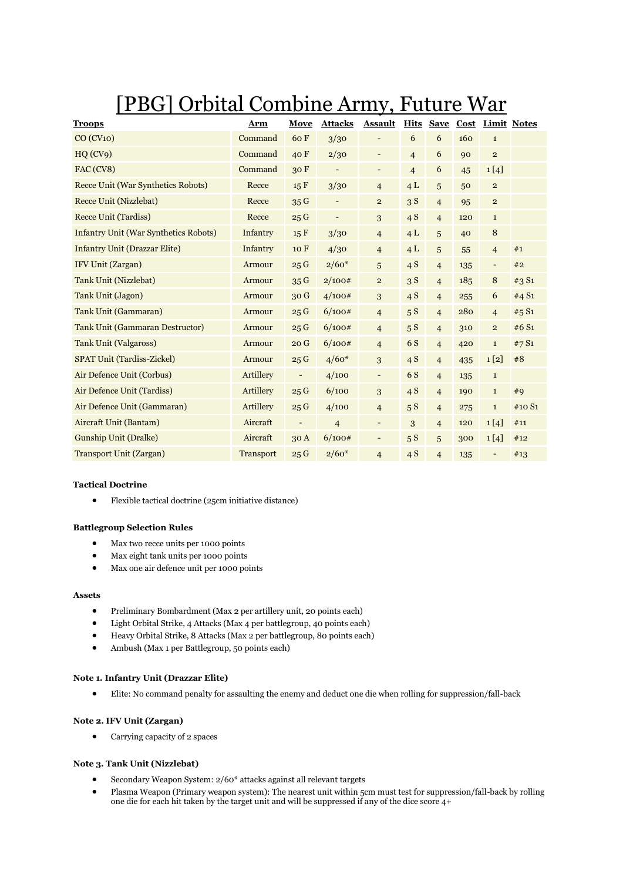# [PBG] Orbital Combine Army, Future War

| <b>Troops</b>                                | Arm              | Move                         | <b>Attacks</b>           | <b>Assault</b>           | <b>Hits</b>    | <b>Save</b>    |     | Cost Limit Notes         |        |
|----------------------------------------------|------------------|------------------------------|--------------------------|--------------------------|----------------|----------------|-----|--------------------------|--------|
| CO (CV10)                                    | Command          | 60F                          | 3/30                     | $\qquad \qquad -$        | 6              | 6              | 160 | $\mathbf 1$              |        |
| HQ(CV9)                                      | Command          | 40 F                         | 2/30                     | $\overline{\phantom{a}}$ | $\overline{4}$ | 6              | 90  | $\overline{2}$           |        |
| FAC (CV8)                                    | Command          | 30F                          | $\overline{\phantom{a}}$ | $\overline{\phantom{a}}$ | $\overline{4}$ | 6              | 45  | 1[4]                     |        |
| Recce Unit (War Synthetics Robots)           | Recce            | 15 F                         | 3/30                     | $\overline{4}$           | 4L             | 5              | 50  | $\mathbf{2}$             |        |
| Recce Unit (Nizzlebat)                       | Recce            | 35G                          |                          | $\overline{2}$           | 3S             | $\overline{4}$ | 95  | $\overline{2}$           |        |
| <b>Recce Unit (Tardiss)</b>                  | Recce            | 25G                          | $\overline{\phantom{a}}$ | 3                        | 4S             | $\overline{4}$ | 120 | $\mathbf{1}$             |        |
| <b>Infantry Unit (War Synthetics Robots)</b> | Infantry         | 15 F                         | 3/30                     | $\overline{4}$           | 4L             | 5              | 40  | 8                        |        |
| <b>Infantry Unit (Drazzar Elite)</b>         | Infantry         | 10 F                         | 4/30                     | $\overline{\mathcal{L}}$ | 4L             | 5              | 55  | $\overline{4}$           | #1     |
| IFV Unit (Zargan)                            | Armour           | 25G                          | $2/60*$                  | 5                        | 4S             | $\overline{4}$ | 135 | $\overline{\phantom{a}}$ | #2     |
| <b>Tank Unit (Nizzlebat)</b>                 | Armour           | 35G                          | 2/100#                   | $\overline{\mathbf{2}}$  | 3S             | $\overline{4}$ | 185 | 8                        | #3 S1  |
| <b>Tank Unit (Jagon)</b>                     | Armour           | 30 G                         | 4/100#                   | 3                        | 4S             | $\overline{4}$ | 255 | 6                        | #4 S1  |
| <b>Tank Unit (Gammaran)</b>                  | Armour           | 25G                          | 6/100#                   | $\overline{4}$           | 5S             | $\overline{4}$ | 280 | $\overline{4}$           | #5 S1  |
| <b>Tank Unit (Gammaran Destructor)</b>       | Armour           | 25G                          | 6/100#                   | $\overline{4}$           | 5S             | $\overline{4}$ | 310 | $\overline{c}$           | #6 S1  |
| <b>Tank Unit (Valgaross)</b>                 | Armour           | 20G                          | 6/100#                   | $\overline{4}$           | 6 S            | $\overline{4}$ | 420 | $\mathbf{1}$             | #7S1   |
| <b>SPAT Unit (Tardiss-Zickel)</b>            | Armour           | 25G                          | $4/60*$                  | 3                        | 4S             | $\overline{4}$ | 435 | 1[2]                     | #8     |
| Air Defence Unit (Corbus)                    | Artillery        | $\overline{\phantom{a}}$     | 4/100                    | -                        | 6 S            | $\overline{4}$ | 135 | $\mathbf 1$              |        |
| Air Defence Unit (Tardiss)                   | Artillery        | 25G                          | 6/100                    | 3                        | 4S             | $\overline{4}$ | 190 | $\mathbf 1$              | #9     |
| Air Defence Unit (Gammaran)                  | Artillery        | 25G                          | 4/100                    | $\overline{4}$           | 5S             | $\overline{4}$ | 275 | $\mathbf{1}$             | #10 S1 |
| Aircraft Unit (Bantam)                       | Aircraft         | $\qquad \qquad \blacksquare$ | $\overline{4}$           | -                        | 3              | $\overline{4}$ | 120 | 1[4]                     | #11    |
| <b>Gunship Unit (Dralke)</b>                 | Aircraft         | 30 A                         | 6/100#                   | $\overline{\phantom{a}}$ | 5S             | 5              | 300 | 1[4]                     | #12    |
| <b>Transport Unit (Zargan)</b>               | <b>Transport</b> | 25G                          | $2/60*$                  | $\overline{4}$           | 4S             | $\overline{4}$ | 135 | $\overline{a}$           | #13    |

# **Tactical Doctrine**

Flexible tactical doctrine (25cm initiative distance)

# **Battlegroup Selection Rules**

- Max two recce units per 1000 points
- Max eight tank units per 1000 points
- Max one air defence unit per 1000 points

# **Assets**

- Preliminary Bombardment (Max 2 per artillery unit, 20 points each)
- Light Orbital Strike, 4 Attacks (Max 4 per battlegroup, 40 points each)
- Heavy Orbital Strike, 8 Attacks (Max 2 per battlegroup, 80 points each)
- Ambush (Max 1 per Battlegroup, 50 points each)

#### **Note 1. Infantry Unit (Drazzar Elite)**

Elite: No command penalty for assaulting the enemy and deduct one die when rolling for suppression/fall-back

# **Note 2. IFV Unit (Zargan)**

• Carrying capacity of 2 spaces

# **Note 3. Tank Unit (Nizzlebat)**

- Secondary Weapon System: 2/60\* attacks against all relevant targets
- Plasma Weapon (Primary weapon system): The nearest unit within 5cm must test for suppression/fall-back by rolling one die for each hit taken by the target unit and will be suppressed if any of the dice score 4+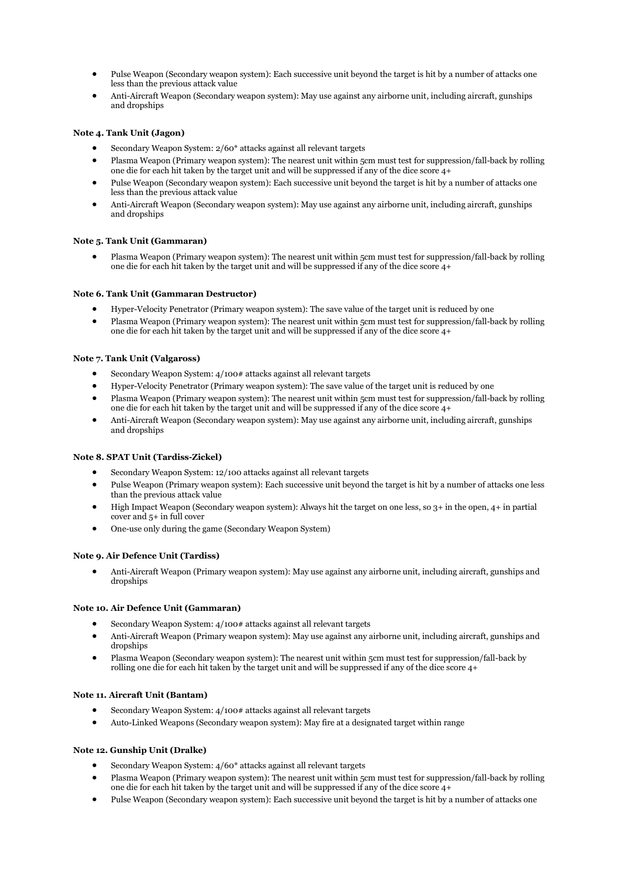- Pulse Weapon (Secondary weapon system): Each successive unit beyond the target is hit by a number of attacks one less than the previous attack value
- Anti-Aircraft Weapon (Secondary weapon system): May use against any airborne unit, including aircraft, gunships and dropships

# **Note 4. Tank Unit (Jagon)**

- Secondary Weapon System: 2/60\* attacks against all relevant targets
- Plasma Weapon (Primary weapon system): The nearest unit within 5cm must test for suppression/fall-back by rolling one die for each hit taken by the target unit and will be suppressed if any of the dice score 4+
- Pulse Weapon (Secondary weapon system): Each successive unit beyond the target is hit by a number of attacks one less than the previous attack value
- Anti-Aircraft Weapon (Secondary weapon system): May use against any airborne unit, including aircraft, gunships and dropships

#### **Note 5. Tank Unit (Gammaran)**

 Plasma Weapon (Primary weapon system): The nearest unit within 5cm must test for suppression/fall-back by rolling one die for each hit taken by the target unit and will be suppressed if any of the dice score 4+

#### **Note 6. Tank Unit (Gammaran Destructor)**

- Hyper-Velocity Penetrator (Primary weapon system): The save value of the target unit is reduced by one
- Plasma Weapon (Primary weapon system): The nearest unit within 5cm must test for suppression/fall-back by rolling one die for each hit taken by the target unit and will be suppressed if any of the dice score 4+

#### **Note 7. Tank Unit (Valgaross)**

- Secondary Weapon System: 4/100# attacks against all relevant targets
- Hyper-Velocity Penetrator (Primary weapon system): The save value of the target unit is reduced by one
- Plasma Weapon (Primary weapon system): The nearest unit within 5cm must test for suppression/fall-back by rolling one die for each hit taken by the target unit and will be suppressed if any of the dice score 4+
- Anti-Aircraft Weapon (Secondary weapon system): May use against any airborne unit, including aircraft, gunships and dropships

#### **Note 8. SPAT Unit (Tardiss-Zickel)**

- Secondary Weapon System: 12/100 attacks against all relevant targets
- Pulse Weapon (Primary weapon system): Each successive unit beyond the target is hit by a number of attacks one less than the previous attack value
- $\bullet$  High Impact Weapon (Secondary weapon system): Always hit the target on one less, so  $3+$  in the open,  $4+$  in partial cover and 5+ in full cover
- One-use only during the game (Secondary Weapon System)

#### **Note 9. Air Defence Unit (Tardiss)**

 Anti-Aircraft Weapon (Primary weapon system): May use against any airborne unit, including aircraft, gunships and dropships

#### **Note 10. Air Defence Unit (Gammaran)**

- Secondary Weapon System: 4/100# attacks against all relevant targets
- Anti-Aircraft Weapon (Primary weapon system): May use against any airborne unit, including aircraft, gunships and dropships
- Plasma Weapon (Secondary weapon system): The nearest unit within 5cm must test for suppression/fall-back by rolling one die for each hit taken by the target unit and will be suppressed if any of the dice score 4+

#### **Note 11. Aircraft Unit (Bantam)**

- Secondary Weapon System: 4/100# attacks against all relevant targets
- Auto-Linked Weapons (Secondary weapon system): May fire at a designated target within range

# **Note 12. Gunship Unit (Dralke)**

- Secondary Weapon System: 4/60\* attacks against all relevant targets
- Plasma Weapon (Primary weapon system): The nearest unit within 5cm must test for suppression/fall-back by rolling one die for each hit taken by the target unit and will be suppressed if any of the dice score 4+
- Pulse Weapon (Secondary weapon system): Each successive unit beyond the target is hit by a number of attacks one